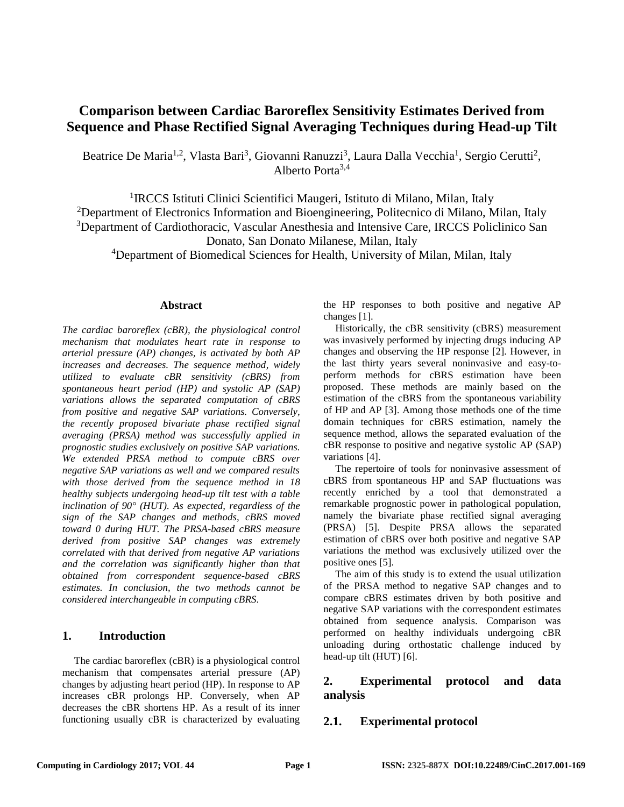# **Comparison between Cardiac Baroreflex Sensitivity Estimates Derived from Sequence and Phase Rectified Signal Averaging Techniques during Head-up Tilt**

Beatrice De Maria<sup>1,2</sup>, Vlasta Bari<sup>3</sup>, Giovanni Ranuzzi<sup>3</sup>, Laura Dalla Vecchia<sup>1</sup>, Sergio Cerutti<sup>2</sup>, Alberto Porta $3,4$ 

<sup>1</sup>IRCCS Istituti Clinici Scientifici Maugeri, Istituto di Milano, Milan, Italy <sup>2</sup>Department of Electronics Information and Bioengineering, Politecnico di Milano, Milan, Italy <sup>3</sup>Department of Cardiothoracic, Vascular Anesthesia and Intensive Care, IRCCS Policlinico San Donato, San Donato Milanese, Milan, Italy

<sup>4</sup>Department of Biomedical Sciences for Health, University of Milan, Milan, Italy

#### **Abstract**

*The cardiac baroreflex (cBR), the physiological control mechanism that modulates heart rate in response to arterial pressure (AP) changes, is activated by both AP increases and decreases. The sequence method, widely utilized to evaluate cBR sensitivity (cBRS) from spontaneous heart period (HP) and systolic AP (SAP) variations allows the separated computation of cBRS from positive and negative SAP variations. Conversely, the recently proposed bivariate phase rectified signal averaging (PRSA) method was successfully applied in prognostic studies exclusively on positive SAP variations. We extended PRSA method to compute cBRS over negative SAP variations as well and we compared results with those derived from the sequence method in 18 healthy subjects undergoing head-up tilt test with a table inclination of 90° (HUT). As expected, regardless of the sign of the SAP changes and methods, cBRS moved toward 0 during HUT. The PRSA-based cBRS measure derived from positive SAP changes was extremely correlated with that derived from negative AP variations and the correlation was significantly higher than that obtained from correspondent sequence-based cBRS estimates. In conclusion, the two methods cannot be considered interchangeable in computing cBRS.* 

### **1. Introduction**

The cardiac baroreflex (cBR) is a physiological control mechanism that compensates arterial pressure (AP) changes by adjusting heart period (HP). In response to AP increases cBR prolongs HP. Conversely, when AP decreases the cBR shortens HP. As a result of its inner functioning usually cBR is characterized by evaluating

the HP responses to both positive and negative AP changes [1].

Historically, the cBR sensitivity (cBRS) measurement was invasively performed by injecting drugs inducing AP changes and observing the HP response [2]. However, in the last thirty years several noninvasive and easy-toperform methods for cBRS estimation have been proposed. These methods are mainly based on the estimation of the cBRS from the spontaneous variability of HP and AP [3]. Among those methods one of the time domain techniques for cBRS estimation, namely the sequence method, allows the separated evaluation of the cBR response to positive and negative systolic AP (SAP) variations [4].

The repertoire of tools for noninvasive assessment of cBRS from spontaneous HP and SAP fluctuations was recently enriched by a tool that demonstrated a remarkable prognostic power in pathological population, namely the bivariate phase rectified signal averaging (PRSA) [5]. Despite PRSA allows the separated estimation of cBRS over both positive and negative SAP variations the method was exclusively utilized over the positive ones [5].

The aim of this study is to extend the usual utilization of the PRSA method to negative SAP changes and to compare cBRS estimates driven by both positive and negative SAP variations with the correspondent estimates obtained from sequence analysis. Comparison was performed on healthy individuals undergoing cBR unloading during orthostatic challenge induced by head-up tilt (HUT) [6].

## **2. Experimental protocol and data analysis**

## **2.1. Experimental protocol**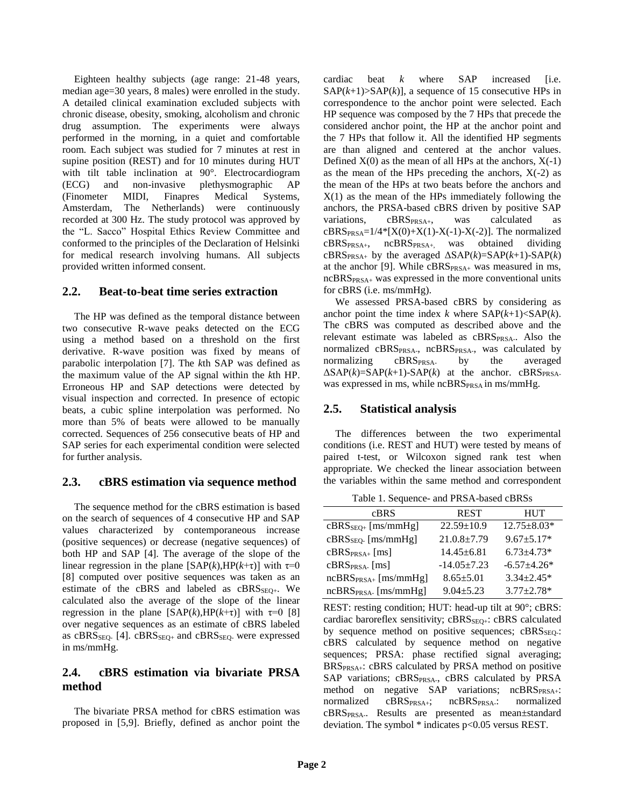Eighteen healthy subjects (age range: 21-48 years, median age=30 years, 8 males) were enrolled in the study. A detailed clinical examination excluded subjects with chronic disease, obesity, smoking, alcoholism and chronic drug assumption. The experiments were always performed in the morning, in a quiet and comfortable room. Each subject was studied for 7 minutes at rest in supine position (REST) and for 10 minutes during HUT with tilt table inclination at 90°. Electrocardiogram (ECG) and non-invasive plethysmographic AP (Finometer MIDI, Finapres Medical Systems, Amsterdam, The Netherlands) were continuously recorded at 300 Hz. The study protocol was approved by the "L. Sacco" Hospital Ethics Review Committee and conformed to the principles of the Declaration of Helsinki for medical research involving humans. All subjects provided written informed consent.

## **2.2. Beat-to-beat time series extraction**

The HP was defined as the temporal distance between two consecutive R-wave peaks detected on the ECG using a method based on a threshold on the first derivative. R-wave position was fixed by means of parabolic interpolation [7]. The *k*th SAP was defined as the maximum value of the AP signal within the *k*th HP. Erroneous HP and SAP detections were detected by visual inspection and corrected. In presence of ectopic beats, a cubic spline interpolation was performed. No more than 5% of beats were allowed to be manually corrected. Sequences of 256 consecutive beats of HP and SAP series for each experimental condition were selected for further analysis.

## **2.3. cBRS estimation via sequence method**

The sequence method for the cBRS estimation is based on the search of sequences of 4 consecutive HP and SAP values characterized by contemporaneous increase (positive sequences) or decrease (negative sequences) of both HP and SAP [4]. The average of the slope of the linear regression in the plane  $[SAP(k),HP(k+\tau)]$  with  $\tau=0$ [8] computed over positive sequences was taken as an estimate of the cBRS and labeled as  $CBRS<sub>SEO+</sub>$ . We calculated also the average of the slope of the linear regression in the plane  $[SAP(k), HP(k+\tau)]$  with  $\tau=0$  [8] over negative sequences as an estimate of cBRS labeled as  $cBRS<sub>SEO</sub>$  [4].  $cBRS<sub>SEO+</sub>$  and  $cBRS<sub>SEO</sub>$  were expressed in ms/mmHg.

## **2.4. cBRS estimation via bivariate PRSA method**

The bivariate PRSA method for cBRS estimation was proposed in [5,9]. Briefly, defined as anchor point the

cardiac beat  $k$  where SAP increased [i.e.]  $SAP(k+1) > SAP(k)$ , a sequence of 15 consecutive HPs in correspondence to the anchor point were selected. Each HP sequence was composed by the 7 HPs that precede the considered anchor point, the HP at the anchor point and the 7 HPs that follow it. All the identified HP segments are than aligned and centered at the anchor values. Defined  $X(0)$  as the mean of all HPs at the anchors,  $X(-1)$ as the mean of the HPs preceding the anchors,  $X(-2)$  as the mean of the HPs at two beats before the anchors and  $X(1)$  as the mean of the HPs immediately following the anchors, the PRSA-based cBRS driven by positive SAP variations,  $CBRS_{PRSA+}$ , was calculated as  $cBRS_{PRSA}=1/4*[X(0)+X(1)-X(-1)-X(-2)]$ . The normalized cBRSPRSA+, ncBRSPRSA+, was obtained dividing cBRS<sub>PRSA+</sub> by the averaged  $\Delta$ SAP(*k*)=SAP(*k*+1)-SAP(*k*) at the anchor [9]. While cBRSPRSA+ was measured in ms, ncBRSPRSA+ was expressed in the more conventional units for cBRS (i.e. ms/mmHg).

We assessed PRSA-based cBRS by considering as anchor point the time index  $k$  where  $SAP(k+1) < SAP(k)$ . The cBRS was computed as described above and the relevant estimate was labeled as cBRSPRSA-. Also the normalized cBRS<sub>PRSA-</sub>, ncBRS<sub>PRSA-</sub>, was calculated by normalizing cBRS<sub>PRSA</sub> by the averaged  $\Delta$ SAP(k)=SAP(k+1)-SAP(k) at the anchor. cBRS<sub>PRSA-</sub> was expressed in ms, while  $ncBRS_{PRSA}$  in ms/mmHg.

## **2.5. Statistical analysis**

The differences between the two experimental conditions (i.e. REST and HUT) were tested by means of paired t-test, or Wilcoxon signed rank test when appropriate. We checked the linear association between the variables within the same method and correspondent

Table 1. Sequence- and PRSA-based cBRSs

| cBRS                      | <b>REST</b>       | <b>HUT</b>        |
|---------------------------|-------------------|-------------------|
| $cBRSSEO+$ [ms/mmHg]      | $22.59 \pm 10.9$  | $12.75 \pm 8.03*$ |
| $cBRSSEO$ [ms/mmHg]       | $21.0.8 \pm 7.79$ | $9.67 \pm 5.17*$  |
| $cBRS_{PRSA+}$ [ms]       | $14.45 \pm 6.81$  | $6.73 \pm 4.73*$  |
| $cBRSPRSA-$ [ms]          | $-14.05+7.23$     | $-6.57+4.26*$     |
| $ncBRS_{PRSA+}$ [ms/mmHg] | $8.65 \pm 5.01$   | $3.34 + 2.45*$    |
| $ncBRSPRSA$ . [ms/mmHg]   | $9.04 \pm 5.23$   | $3.77 \pm 2.78*$  |

REST: resting condition; HUT: head-up tilt at 90°; cBRS: cardiac baroreflex sensitivity;  $cBRS_{\text{SEO+}}$ :  $cBRS$  calculated by sequence method on positive sequences;  $cBRS<sub>SEO</sub>$ : cBRS calculated by sequence method on negative sequences; PRSA: phase rectified signal averaging; BRSPRSA+: cBRS calculated by PRSA method on positive SAP variations; cBRS<sub>PRSA-</sub>, cBRS calculated by PRSA method on negative SAP variations; ncBRSPRSA+: normalized cBRS<sub>PRSA+</sub>; ncBRS<sub>PRSA</sub>: normalized cBRSPRSA-. Results are presented as mean±standard deviation. The symbol \* indicates p<0.05 versus REST.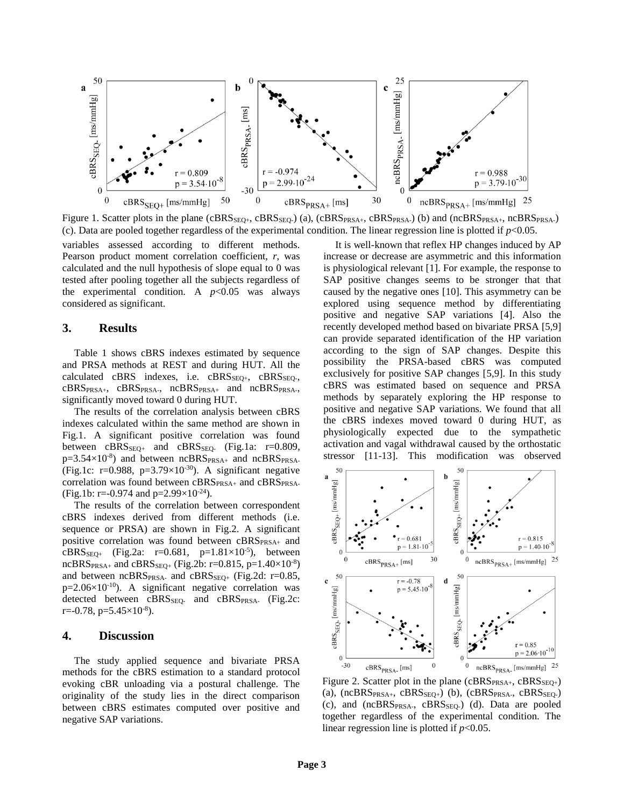

Figure 1. Scatter plots in the plane ( $CBRS_{SEQ+}$ ,  $CBRS_{ESQ+}$ ) (a),  $(CBRS_{PRSA+}$ ,  $CBRS_{PRSA+}$ ) (b) and  $(nCBRS_{PRSA+}$ ,  $ncBRS_{PRSA-}$ ) (c). Data are pooled together regardless of the experimental condition. The linear regression line is plotted if  $p$ <0.05.

variables assessed according to different methods. Pearson product moment correlation coefficient, *r*, was calculated and the null hypothesis of slope equal to 0 was tested after pooling together all the subjects regardless of the experimental condition. A  $p<0.05$  was always considered as significant.

#### **3. Results**

Table 1 shows cBRS indexes estimated by sequence and PRSA methods at REST and during HUT. All the calculated cBRS indexes, i.e.  $CBRS<sub>SEO+</sub>$ ,  $CBRS<sub>SEO-</sub>$ , cBRSPRSA+, cBRSPRSA-, ncBRSPRSA+ and ncBRSPRSA-, significantly moved toward 0 during HUT.

The results of the correlation analysis between cBRS indexes calculated within the same method are shown in Fig.1. A significant positive correlation was found between  $cBRS<sub>SEO+</sub>$  and  $cBRS<sub>SEO-</sub>$  (Fig.1a:  $r=0.809$ ,  $p=3.54\times10^{-8}$ ) and between ncBRS $_{PRSA+}$  and ncBRS $_{PRSA-}$ (Fig.1c: r=0.988, p=3.79×10<sup>-30</sup>). A significant negative correlation was found between cBRS<sub>PRSA+</sub> and cBRS<sub>PRSA-</sub> (Fig.1b: r=-0.974 and p= $2.99 \times 10^{-24}$ ).

The results of the correlation between correspondent cBRS indexes derived from different methods (i.e. sequence or PRSA) are shown in Fig.2. A significant positive correlation was found between cBRSPRSA+ and  $cBRS_{SEQ+}$  (Fig.2a: r=0.681, p=1.81×10<sup>-5</sup>), between  $ncBRS_{PRSA+}$  and  $cBRS_{SEQ+}$  (Fig.2b: r=0.815, p=1.40×10<sup>-8</sup>) and between  $ncBRS_{PRSA}$  and  $cBRS_{SEQ+}$  (Fig.2d: r=0.85,  $p=2.06\times10^{-10}$ ). A significant negative correlation was detected between cBRS<sub>SEQ</sub>- and cBRS<sub>PRSA-</sub> (Fig.2c:  $r = -0.78$ ,  $p = 5.45 \times 10^{-8}$ ).

#### **4. Discussion**

The study applied sequence and bivariate PRSA methods for the cBRS estimation to a standard protocol evoking cBR unloading via a postural challenge. The originality of the study lies in the direct comparison between cBRS estimates computed over positive and negative SAP variations.

It is well-known that reflex HP changes induced by AP increase or decrease are asymmetric and this information is physiological relevant [1]. For example, the response to SAP positive changes seems to be stronger that that caused by the negative ones [10]. This asymmetry can be explored using sequence method by differentiating positive and negative SAP variations [4]. Also the recently developed method based on bivariate PRSA [5,9] can provide separated identification of the HP variation according to the sign of SAP changes. Despite this possibility the PRSA-based cBRS was computed exclusively for positive SAP changes [5,9]. In this study cBRS was estimated based on sequence and PRSA methods by separately exploring the HP response to positive and negative SAP variations. We found that all the cBRS indexes moved toward 0 during HUT, as physiologically expected due to the sympathetic activation and vagal withdrawal caused by the orthostatic stressor [11-13]. This modification was observed



Figure 2. Scatter plot in the plane ( $cBRS_{PRSA+}$ ,  $cBRS_{SEO+}$ ) (a),  $(nCBRS_{PRSA+}, cBRS_{SEQ+})$  (b),  $(cBRS_{PRSA-}, cBRS_{SEQ-})$ (c), and (ncBRS<sub>PRSA-</sub>, cBRS<sub>SEQ-</sub>) (d). Data are pooled together regardless of the experimental condition. The linear regression line is plotted if *p*<0.05.